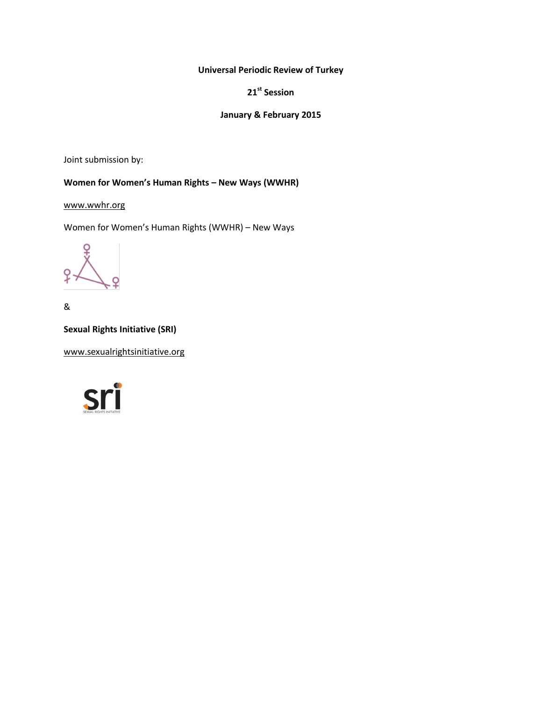**Universal Periodic Review of Turkey**

**21st Session**

# **January & February 2015**

Joint submission by:

# **Women for Women's Human Rights – New Ways (WWHR)**

[www.wwhr.org](http://www.wwhr.org/)

Women for Women's Human Rights (WWHR) – New Ways

Q

&

**Sexual Rights Initiative (SRI)**

[www.sexualrightsinitiative.org](http://www.sexualrightsinitiative.org/)

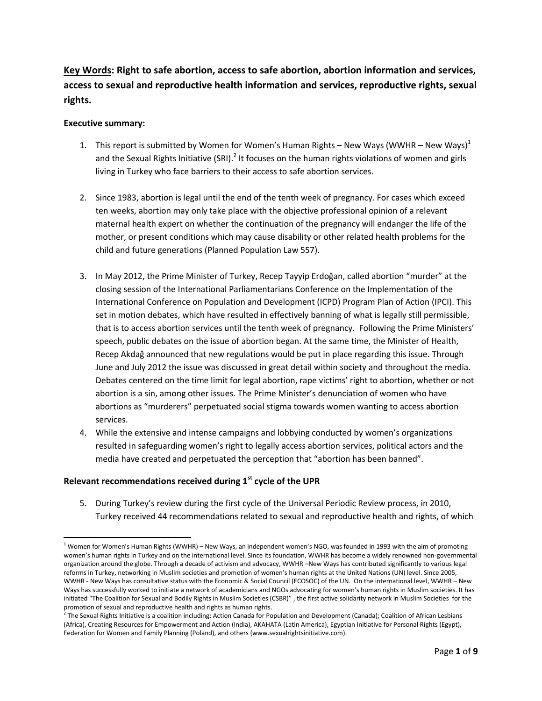**Key Words: Right to safe abortion, access to safe abortion, abortion information and services, access to sexual and reproductive health information and services, reproductive rights, sexual rights.**

#### **Executive summary:**

 $\overline{\phantom{a}}$ 

- 1. This report is submitted by Women for Women's Human Rights New Ways (WWHR New Ways)<sup>1</sup> and the Sexual Rights Initiative (SRI).<sup>2</sup> It focuses on the human rights violations of women and girls living in Turkey who face barriers to their access to safe abortion services.
- 2. Since 1983, abortion is legal until the end of the tenth week of pregnancy. For cases which exceed ten weeks, abortion may only take place with the objective professional opinion of a relevant maternal health expert on whether the continuation of the pregnancy will endanger the life of the mother, or present conditions which may cause disability or other related health problems for the child and future generations (Planned Population Law 557).
- 3. In May 2012, the Prime Minister of Turkey, Recep Tayyip Erdoğan, called abortion "murder" at the closing session of the International Parliamentarians Conference on the Implementation of the International Conference on Population and Development (ICPD) Program Plan of Action (IPCI). This set in motion debates, which have resulted in effectively banning of what is legally still permissible, that is to access abortion services until the tenth week of pregnancy. Following the Prime Ministers' speech, public debates on the issue of abortion began. At the same time, the Minister of Health, Recep Akdağ announced that new regulations would be put in place regarding this issue. Through June and July 2012 the issue was discussed in great detail within society and throughout the media. Debates centered on the time limit for legal abortion, rape victims' right to abortion, whether or not abortion is a sin, among other issues. The Prime Minister's denunciation of women who have abortions as "murderers" perpetuated social stigma towards women wanting to access abortion services.
- 4. While the extensive and intense campaigns and lobbying conducted by women's organizations resulted in safeguarding women's right to legally access abortion services, political actors and the media have created and perpetuated the perception that "abortion has been banned".

## **Relevant recommendations received during 1st cycle of the UPR**

5. During Turkey's review during the first cycle of the Universal Periodic Review process, in 2010, Turkey received 44 recommendations related to sexual and reproductive health and rights, of which

 $1$  Women for Women's Human Rights (WWHR) – New Ways, an independent women's NGO, was founded in 1993 with the aim of promoting women's human rights in Turkey and on the international level. Since its foundation, WWHR has become a widely renowned non-governmental organization around the globe. Through a decade of activism and advocacy, WWHR –New Ways has contributed significantly to various legal reforms in Turkey, networking in Muslim societies and promotion of women's human rights at the United Nations (UN) level. Since 2005, WWHR - New Ways has consultative status with the Economic & Social Council (ECOSOC) of the UN. On the international level, WWHR – New Ways has successfully worked to initiate a network of academicians and NGOs advocating for women's human rights in Muslim societies. It has initiated "The Coalition for Sexual and Bodily Rights in Muslim Societies (CSBR)" , the first active solidarity network in Muslim Societies for the promotion of sexual and reproductive health and rights as human rights.

<sup>&</sup>lt;sup>2</sup> The Sexual Rights Initiative is a coalition including: Action Canada for Population and Development (Canada); Coalition of African Lesbians (Africa), Creating Resources for Empowerment and Action (India), AKAHATA (Latin America), Egyptian Initiative for Personal Rights (Egypt), Federation for Women and Family Planning (Poland), and others (www.sexualrightsinitiative.com).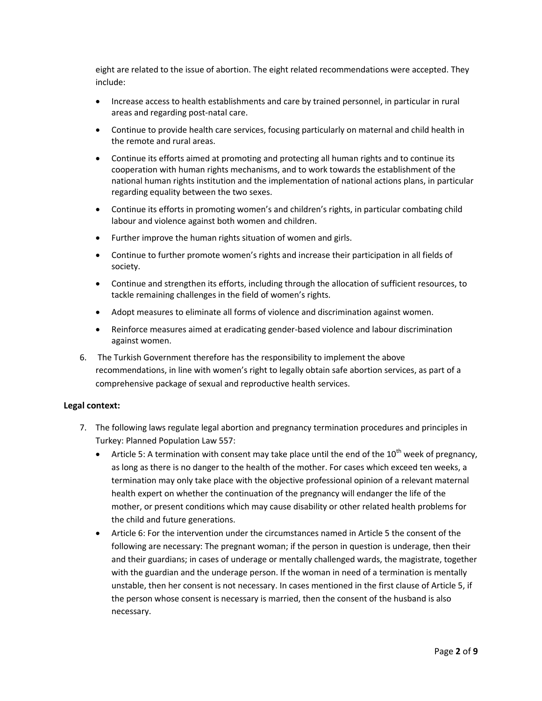eight are related to the issue of abortion. The eight related recommendations were accepted. They include:

- Increase access to health establishments and care by trained personnel, in particular in rural areas and regarding post-natal care.
- Continue to provide health care services, focusing particularly on maternal and child health in the remote and rural areas.
- Continue its efforts aimed at promoting and protecting all human rights and to continue its cooperation with human rights mechanisms, and to work towards the establishment of the national human rights institution and the implementation of national actions plans, in particular regarding equality between the two sexes.
- Continue its efforts in promoting women's and children's rights, in particular combating child labour and violence against both women and children.
- Further improve the human rights situation of women and girls.
- Continue to further promote women's rights and increase their participation in all fields of society.
- Continue and strengthen its efforts, including through the allocation of sufficient resources, to tackle remaining challenges in the field of women's rights.
- Adopt measures to eliminate all forms of violence and discrimination against women.
- Reinforce measures aimed at eradicating gender-based violence and labour discrimination against women.
- 6. The Turkish Government therefore has the responsibility to implement the above recommendations, in line with women's right to legally obtain safe abortion services, as part of a comprehensive package of sexual and reproductive health services.

#### **Legal context:**

- 7. The following laws regulate legal abortion and pregnancy termination procedures and principles in Turkey: Planned Population Law 557:
	- Article 5: A termination with consent may take place until the end of the  $10^{th}$  week of pregnancy, as long as there is no danger to the health of the mother. For cases which exceed ten weeks, a termination may only take place with the objective professional opinion of a relevant maternal health expert on whether the continuation of the pregnancy will endanger the life of the mother, or present conditions which may cause disability or other related health problems for the child and future generations.
	- Article 6: For the intervention under the circumstances named in Article 5 the consent of the following are necessary: The pregnant woman; if the person in question is underage, then their and their guardians; in cases of underage or mentally challenged wards, the magistrate, together with the guardian and the underage person. If the woman in need of a termination is mentally unstable, then her consent is not necessary. In cases mentioned in the first clause of Article 5, if the person whose consent is necessary is married, then the consent of the husband is also necessary.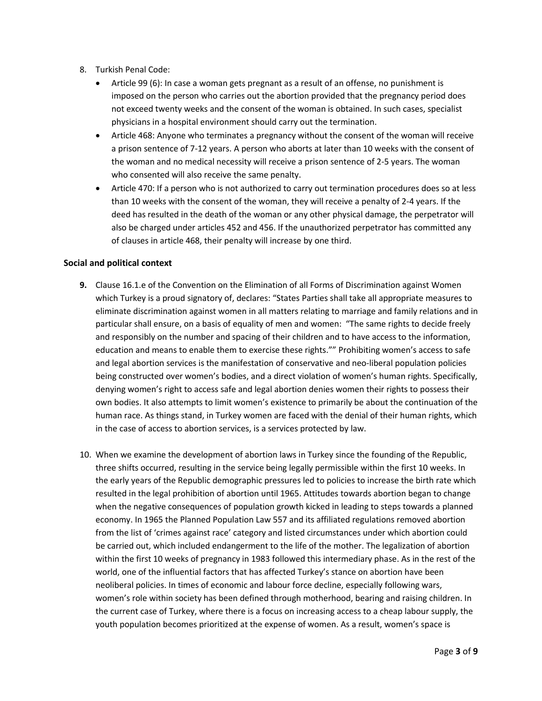- 8. Turkish Penal Code:
	- Article 99 (6): In case a woman gets pregnant as a result of an offense, no punishment is imposed on the person who carries out the abortion provided that the pregnancy period does not exceed twenty weeks and the consent of the woman is obtained. In such cases, specialist physicians in a hospital environment should carry out the termination.
	- Article 468: Anyone who terminates a pregnancy without the consent of the woman will receive a prison sentence of 7-12 years. A person who aborts at later than 10 weeks with the consent of the woman and no medical necessity will receive a prison sentence of 2-5 years. The woman who consented will also receive the same penalty.
	- Article 470: If a person who is not authorized to carry out termination procedures does so at less than 10 weeks with the consent of the woman, they will receive a penalty of 2-4 years. If the deed has resulted in the death of the woman or any other physical damage, the perpetrator will also be charged under articles 452 and 456. If the unauthorized perpetrator has committed any of clauses in article 468, their penalty will increase by one third.

## **Social and political context**

- **9.** Clause 16.1.e of the Convention on the Elimination of all Forms of Discrimination against Women which Turkey is a proud signatory of, declares: "States Parties shall take all appropriate measures to eliminate discrimination against women in all matters relating to marriage and family relations and in particular shall ensure, on a basis of equality of men and women: "The same rights to decide freely and responsibly on the number and spacing of their children and to have access to the information, education and means to enable them to exercise these rights."" Prohibiting women's access to safe and legal abortion services is the manifestation of conservative and neo-liberal population policies being constructed over women's bodies, and a direct violation of women's human rights. Specifically, denying women's right to access safe and legal abortion denies women their rights to possess their own bodies. It also attempts to limit women's existence to primarily be about the continuation of the human race. As things stand, in Turkey women are faced with the denial of their human rights, which in the case of access to abortion services, is a services protected by law.
- 10. When we examine the development of abortion laws in Turkey since the founding of the Republic, three shifts occurred, resulting in the service being legally permissible within the first 10 weeks. In the early years of the Republic demographic pressures led to policies to increase the birth rate which resulted in the legal prohibition of abortion until 1965. Attitudes towards abortion began to change when the negative consequences of population growth kicked in leading to steps towards a planned economy. In 1965 the Planned Population Law 557 and its affiliated regulations removed abortion from the list of 'crimes against race' category and listed circumstances under which abortion could be carried out, which included endangerment to the life of the mother. The legalization of abortion within the first 10 weeks of pregnancy in 1983 followed this intermediary phase. As in the rest of the world, one of the influential factors that has affected Turkey's stance on abortion have been neoliberal policies. In times of economic and labour force decline, especially following wars, women's role within society has been defined through motherhood, bearing and raising children. In the current case of Turkey, where there is a focus on increasing access to a cheap labour supply, the youth population becomes prioritized at the expense of women. As a result, women's space is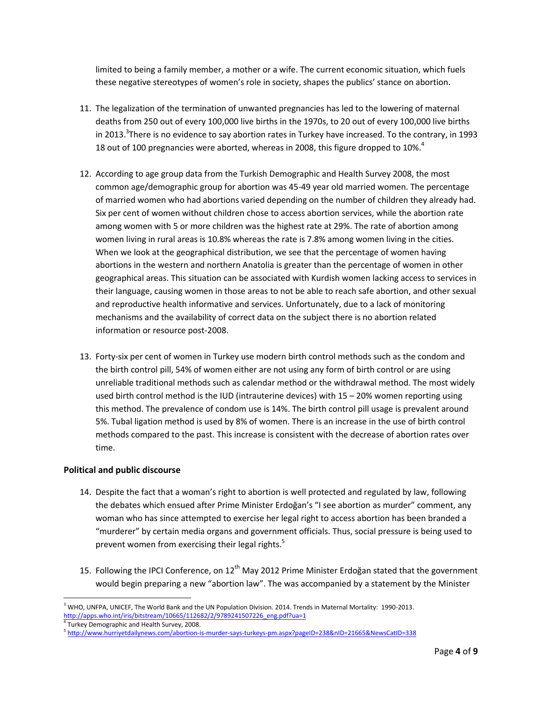limited to being a family member, a mother or a wife. The current economic situation, which fuels these negative stereotypes of women's role in society, shapes the publics' stance on abortion.

- 11. The legalization of the termination of unwanted pregnancies has led to the lowering of maternal deaths from 250 out of every 100,000 live births in the 1970s, to 20 out of every 100,000 live births in 2013.<sup>3</sup>There is no evidence to say abortion rates in Turkey have increased. To the contrary, in 1993 18 out of 100 pregnancies were aborted, whereas in 2008, this figure dropped to 10%. $^{4}$
- 12. According to age group data from the Turkish Demographic and Health Survey 2008, the most common age/demographic group for abortion was 45-49 year old married women. The percentage of married women who had abortions varied depending on the number of children they already had. Six per cent of women without children chose to access abortion services, while the abortion rate among women with 5 or more children was the highest rate at 29%. The rate of abortion among women living in rural areas is 10.8% whereas the rate is 7.8% among women living in the cities. When we look at the geographical distribution, we see that the percentage of women having abortions in the western and northern Anatolia is greater than the percentage of women in other geographical areas. This situation can be associated with Kurdish women lacking access to services in their language, causing women in those areas to not be able to reach safe abortion, and other sexual and reproductive health informative and services. Unfortunately, due to a lack of monitoring mechanisms and the availability of correct data on the subject there is no abortion related information or resource post-2008.
- 13. Forty-six per cent of women in Turkey use modern birth control methods such as the condom and the birth control pill, 54% of women either are not using any form of birth control or are using unreliable traditional methods such as calendar method or the withdrawal method. The most widely used birth control method is the IUD (intrauterine devices) with 15 – 20% women reporting using this method. The prevalence of condom use is 14%. The birth control pill usage is prevalent around 5%. Tubal ligation method is used by 8% of women. There is an increase in the use of birth control methods compared to the past. This increase is consistent with the decrease of abortion rates over time.

## **Political and public discourse**

- 14. Despite the fact that a woman's right to abortion is well protected and regulated by law, following the debates which ensued after Prime Minister Erdoğan's "I see abortion as murder" comment, any woman who has since attempted to exercise her legal right to access abortion has been branded a "murderer" by certain media organs and government officials. Thus, social pressure is being used to prevent women from exercising their legal rights.<sup>5</sup>
- 15. Following the IPCI Conference, on 12<sup>th</sup> May 2012 Prime Minister Erdoğan stated that the government would begin preparing a new "abortion law". The was accompanied by a statement by the Minister

l  $3$  WHO, UNFPA, UNICEF, The World Bank and the UN Population Division. 2014. Trends in Maternal Mortality: 1990-2013. [http://apps.who.int/iris/bitstream/10665/112682/2/9789241507226\\_eng.pdf?ua=1](http://apps.who.int/iris/bitstream/10665/112682/2/9789241507226_eng.pdf?ua=1)

<sup>4</sup> Turkey Demographic and Health Survey, 2008.

<sup>5</sup> <http://www.hurriyetdailynews.com/abortion-is-murder-says-turkeys-pm.aspx?pageID=238&nID=21665&NewsCatID=338>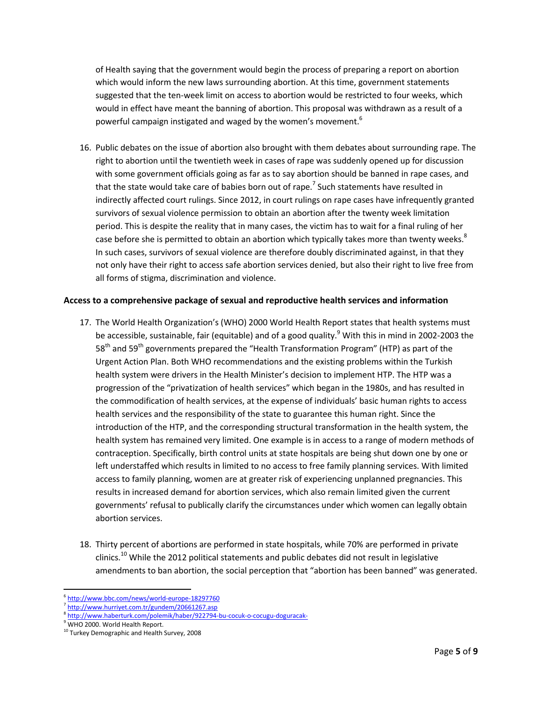of Health saying that the government would begin the process of preparing a report on abortion which would inform the new laws surrounding abortion. At this time, government statements suggested that the ten-week limit on access to abortion would be restricted to four weeks, which would in effect have meant the banning of abortion. This proposal was withdrawn as a result of a powerful campaign instigated and waged by the women's movement.<sup>6</sup>

16. Public debates on the issue of abortion also brought with them debates about surrounding rape. The right to abortion until the twentieth week in cases of rape was suddenly opened up for discussion with some government officials going as far as to say abortion should be banned in rape cases, and that the state would take care of babies born out of rape.<sup>7</sup> Such statements have resulted in indirectly affected court rulings. Since 2012, in court rulings on rape cases have infrequently granted survivors of sexual violence permission to obtain an abortion after the twenty week limitation period. This is despite the reality that in many cases, the victim has to wait for a final ruling of her case before she is permitted to obtain an abortion which typically takes more than twenty weeks. $^8$ In such cases, survivors of sexual violence are therefore doubly discriminated against, in that they not only have their right to access safe abortion services denied, but also their right to live free from all forms of stigma, discrimination and violence.

## **Access to a comprehensive package of sexual and reproductive health services and information**

- 17. The World Health Organization's (WHO) 2000 World Health Report states that health systems must be accessible, sustainable, fair (equitable) and of a good quality.<sup>9</sup> With this in mind in 2002-2003 the  $58<sup>th</sup>$  and  $59<sup>th</sup>$  governments prepared the "Health Transformation Program" (HTP) as part of the Urgent Action Plan. Both WHO recommendations and the existing problems within the Turkish health system were drivers in the Health Minister's decision to implement HTP. The HTP was a progression of the "privatization of health services" which began in the 1980s, and has resulted in the commodification of health services, at the expense of individuals' basic human rights to access health services and the responsibility of the state to guarantee this human right. Since the introduction of the HTP, and the corresponding structural transformation in the health system, the health system has remained very limited. One example is in access to a range of modern methods of contraception. Specifically, birth control units at state hospitals are being shut down one by one or left understaffed which results in limited to no access to free family planning services. With limited access to family planning, women are at greater risk of experiencing unplanned pregnancies. This results in increased demand for abortion services, which also remain limited given the current governments' refusal to publically clarify the circumstances under which women can legally obtain abortion services.
- 18. Thirty percent of abortions are performed in state hospitals, while 70% are performed in private clinics.<sup>10</sup> While the 2012 political statements and public debates did not result in legislative amendments to ban abortion, the social perception that "abortion has been banned" was generated.

 $\overline{a}$ 6 <http://www.bbc.com/news/world-europe-18297760>

<sup>7</sup> <http://www.hurriyet.com.tr/gundem/20661267.asp>

<sup>&</sup>lt;sup>8</sup> <http://www.haberturk.com/polemik/haber/922794-bu-cocuk-o-cocugu-doguracak->

<sup>&</sup>lt;sup>9</sup> WHO 2000. World Health Report.

<sup>&</sup>lt;sup>10</sup> Turkey Demographic and Health Survey, 2008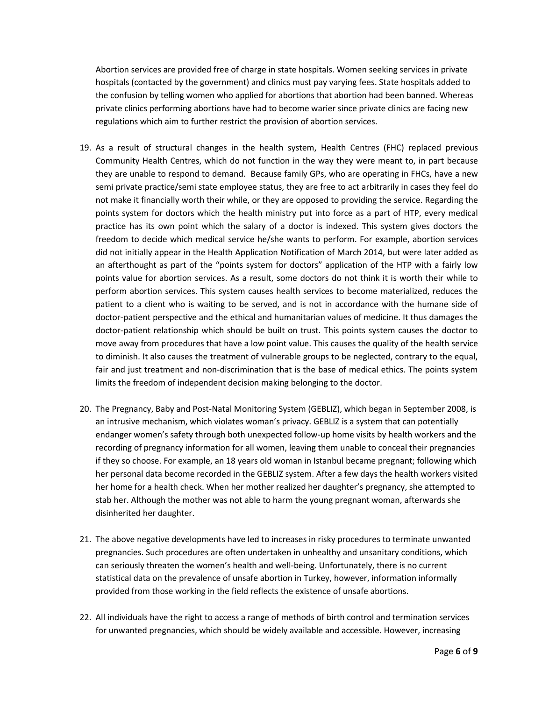Abortion services are provided free of charge in state hospitals. Women seeking services in private hospitals (contacted by the government) and clinics must pay varying fees. State hospitals added to the confusion by telling women who applied for abortions that abortion had been banned. Whereas private clinics performing abortions have had to become warier since private clinics are facing new regulations which aim to further restrict the provision of abortion services.

- 19. As a result of structural changes in the health system, Health Centres (FHC) replaced previous Community Health Centres, which do not function in the way they were meant to, in part because they are unable to respond to demand. Because family GPs, who are operating in FHCs, have a new semi private practice/semi state employee status, they are free to act arbitrarily in cases they feel do not make it financially worth their while, or they are opposed to providing the service. Regarding the points system for doctors which the health ministry put into force as a part of HTP, every medical practice has its own point which the salary of a doctor is indexed. This system gives doctors the freedom to decide which medical service he/she wants to perform. For example, abortion services did not initially appear in the Health Application Notification of March 2014, but were later added as an afterthought as part of the "points system for doctors" application of the HTP with a fairly low points value for abortion services. As a result, some doctors do not think it is worth their while to perform abortion services. This system causes health services to become materialized, reduces the patient to a client who is waiting to be served, and is not in accordance with the humane side of doctor-patient perspective and the ethical and humanitarian values of medicine. It thus damages the doctor-patient relationship which should be built on trust. This points system causes the doctor to move away from procedures that have a low point value. This causes the quality of the health service to diminish. It also causes the treatment of vulnerable groups to be neglected, contrary to the equal, fair and just treatment and non-discrimination that is the base of medical ethics. The points system limits the freedom of independent decision making belonging to the doctor.
- 20. The Pregnancy, Baby and Post-Natal Monitoring System (GEBLIZ), which began in September 2008, is an intrusive mechanism, which violates woman's privacy. GEBLIZ is a system that can potentially endanger women's safety through both unexpected follow-up home visits by health workers and the recording of pregnancy information for all women, leaving them unable to conceal their pregnancies if they so choose. For example, an 18 years old woman in Istanbul became pregnant; following which her personal data become recorded in the GEBLIZ system. After a few days the health workers visited her home for a health check. When her mother realized her daughter's pregnancy, she attempted to stab her. Although the mother was not able to harm the young pregnant woman, afterwards she disinherited her daughter.
- 21. The above negative developments have led to increases in risky procedures to terminate unwanted pregnancies. Such procedures are often undertaken in unhealthy and unsanitary conditions, which can seriously threaten the women's health and well-being. Unfortunately, there is no current statistical data on the prevalence of unsafe abortion in Turkey, however, information informally provided from those working in the field reflects the existence of unsafe abortions.
- 22. All individuals have the right to access a range of methods of birth control and termination services for unwanted pregnancies, which should be widely available and accessible. However, increasing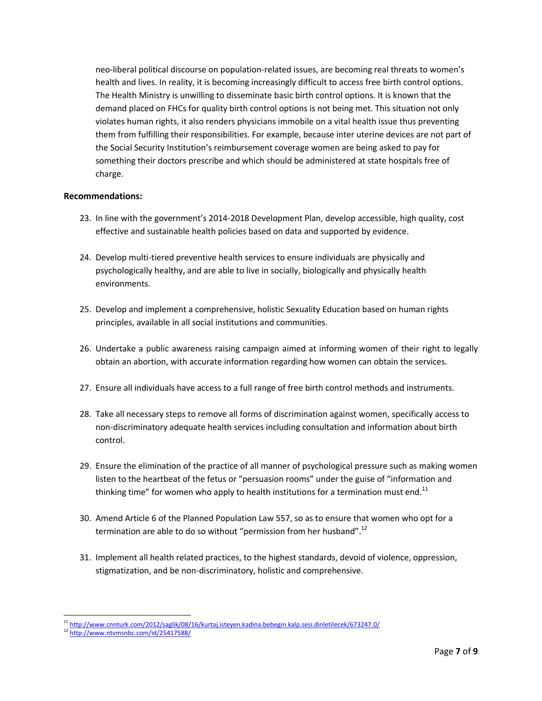neo-liberal political discourse on population-related issues, are becoming real threats to women's health and lives. In reality, it is becoming increasingly difficult to access free birth control options. The Health Ministry is unwilling to disseminate basic birth control options. It is known that the demand placed on FHCs for quality birth control options is not being met. This situation not only violates human rights, it also renders physicians immobile on a vital health issue thus preventing them from fulfilling their responsibilities. For example, because inter uterine devices are not part of the Social Security Institution's reimbursement coverage women are being asked to pay for something their doctors prescribe and which should be administered at state hospitals free of charge.

## **Recommendations:**

- 23. In line with the government's 2014-2018 Development Plan, develop accessible, high quality, cost effective and sustainable health policies based on data and supported by evidence.
- 24. Develop multi-tiered preventive health services to ensure individuals are physically and psychologically healthy, and are able to live in socially, biologically and physically health environments.
- 25. Develop and implement a comprehensive, holistic Sexuality Education based on human rights principles, available in all social institutions and communities.
- 26. Undertake a public awareness raising campaign aimed at informing women of their right to legally obtain an abortion, with accurate information regarding how women can obtain the services.
- 27. Ensure all individuals have access to a full range of free birth control methods and instruments.
- 28. Take all necessary steps to remove all forms of discrimination against women, specifically access to non-discriminatory adequate health services including consultation and information about birth control.
- 29. Ensure the elimination of the practice of all manner of psychological pressure such as making women listen to the heartbeat of the fetus or "persuasion rooms" under the guise of "information and thinking time" for women who apply to health institutions for a termination must end.<sup>11</sup>
- 30. Amend Article 6 of the Planned Population Law 557, so as to ensure that women who opt for a termination are able to do so without "permission from her husband".<sup>12</sup>
- 31. Implement all health related practices, to the highest standards, devoid of violence, oppression, stigmatization, and be non-discriminatory, holistic and comprehensive.

 $\overline{a}$ 

<sup>11</sup> <http://www.cnnturk.com/2012/saglik/08/16/kurtaj.isteyen.kadina.bebegin.kalp.sesi.dinletilecek/673247.0/>

<sup>12</sup> <http://www.ntvmsnbc.com/id/25417588/>